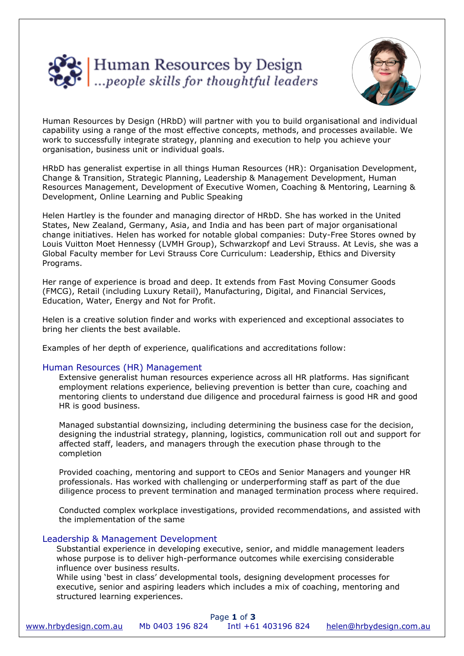



Human Resources by Design (HRbD) will partner with you to build organisational and individual capability using a range of the most effective concepts, methods, and processes available. We work to successfully integrate strategy, planning and execution to help you achieve your organisation, business unit or individual goals.

HRbD has generalist expertise in all things Human Resources (HR): Organisation Development, Change & Transition, Strategic Planning, Leadership & Management Development, Human Resources Management, Development of Executive Women, Coaching & Mentoring, Learning & Development, Online Learning and Public Speaking

Helen Hartley is the founder and managing director of HRbD. She has worked in the United States, New Zealand, Germany, Asia, and India and has been part of major organisational change initiatives. Helen has worked for notable global companies: Duty-Free Stores owned by Louis Vuitton Moet Hennessy (LVMH Group), Schwarzkopf and Levi Strauss. At Levis, she was a Global Faculty member for Levi Strauss Core Curriculum: Leadership, Ethics and Diversity Programs.

Her range of experience is broad and deep. It extends from Fast Moving Consumer Goods (FMCG), Retail (including Luxury Retail), Manufacturing, Digital, and Financial Services, Education, Water, Energy and Not for Profit.

Helen is a creative solution finder and works with experienced and exceptional associates to bring her clients the best available.

Examples of her depth of experience, qualifications and accreditations follow:

#### Human Resources (HR) Management

Extensive generalist human resources experience across all HR platforms. Has significant employment relations experience, believing prevention is better than cure, coaching and mentoring clients to understand due diligence and procedural fairness is good HR and good HR is good business.

Managed substantial downsizing, including determining the business case for the decision, designing the industrial strategy, planning, logistics, communication roll out and support for affected staff, leaders, and managers through the execution phase through to the completion

Provided coaching, mentoring and support to CEOs and Senior Managers and younger HR professionals. Has worked with challenging or underperforming staff as part of the due diligence process to prevent termination and managed termination process where required.

Conducted complex workplace investigations, provided recommendations, and assisted with the implementation of the same

#### Leadership & Management Development

Substantial experience in developing executive, senior, and middle management leaders whose purpose is to deliver high-performance outcomes while exercising considerable influence over business results.

While using 'best in class' developmental tools, designing development processes for executive, senior and aspiring leaders which includes a mix of coaching, mentoring and structured learning experiences.

| Page 1 of 3           |                 |                     |                         |
|-----------------------|-----------------|---------------------|-------------------------|
| www.hrbydesign.com.au | Mb 0403 196 824 | Intl +61 403196 824 | helen@hrbydesign.com.au |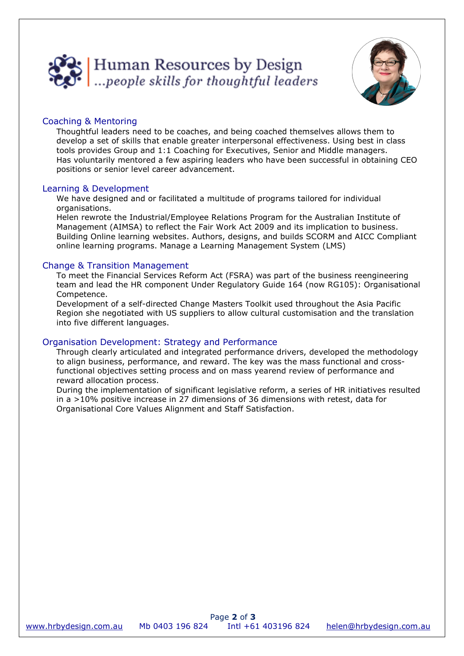



# Coaching & Mentoring

Thoughtful leaders need to be coaches, and being coached themselves allows them to develop a set of skills that enable greater interpersonal effectiveness. Using best in class tools provides Group and 1:1 Coaching for Executives, Senior and Middle managers. Has voluntarily mentored a few aspiring leaders who have been successful in obtaining CEO positions or senior level career advancement.

### Learning & Development

We have designed and or facilitated a multitude of programs tailored for individual organisations.

Helen rewrote the Industrial/Employee Relations Program for the Australian Institute of Management (AIMSA) to reflect the Fair Work Act 2009 and its implication to business. Building Online learning websites. Authors, designs, and builds SCORM and AICC Compliant online learning programs. Manage a Learning Management System (LMS)

## Change & Transition Management

To meet the Financial Services Reform Act (FSRA) was part of the business reengineering team and lead the HR component Under Regulatory Guide 164 (now RG105): Organisational Competence.

Development of a self-directed Change Masters Toolkit used throughout the Asia Pacific Region she negotiated with US suppliers to allow cultural customisation and the translation into five different languages.

## Organisation Development: Strategy and Performance

Through clearly articulated and integrated performance drivers, developed the methodology to align business, performance, and reward. The key was the mass functional and crossfunctional objectives setting process and on mass yearend review of performance and reward allocation process.

During the implementation of significant legislative reform, a series of HR initiatives resulted in a >10% positive increase in 27 dimensions of 36 dimensions with retest, data for Organisational Core Values Alignment and Staff Satisfaction.